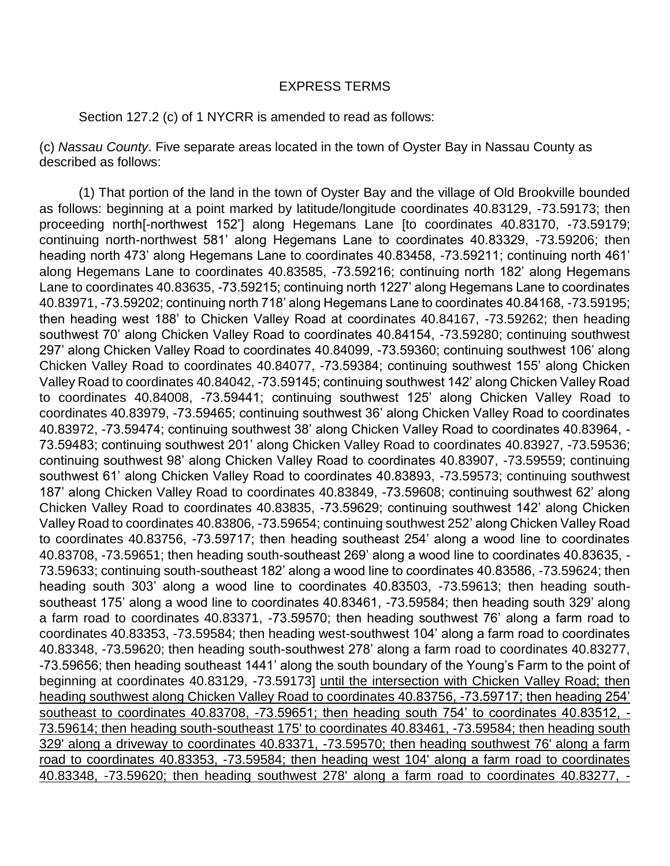## EXPRESS TERMS

## Section 127.2 (c) of 1 NYCRR is amended to read as follows:

(c) *Nassau County*. Five separate areas located in the town of Oyster Bay in Nassau County as described as follows:

 (1) That portion of the land in the town of Oyster Bay and the village of Old Brookville bounded as follows: beginning at a point marked by latitude/longitude coordinates 40.83129, -73.59173; then proceeding north[-northwest 152'] along Hegemans Lane [to coordinates 40.83170, -73.59179; continuing north-northwest 581' along Hegemans Lane to coordinates 40.83329, -73.59206; then heading north 473' along Hegemans Lane to coordinates 40.83458, -73.59211; continuing north 461' along Hegemans Lane to coordinates 40.83585, -73.59216; continuing north 182' along Hegemans Lane to coordinates 40.83635, -73.59215; continuing north 1227' along Hegemans Lane to coordinates 40.83971, -73.59202; continuing north 718' along Hegemans Lane to coordinates 40.84168, -73.59195; then heading west 188' to Chicken Valley Road at coordinates 40.84167, -73.59262; then heading southwest 70' along Chicken Valley Road to coordinates 40.84154, -73.59280; continuing southwest 297' along Chicken Valley Road to coordinates 40.84099, -73.59360; continuing southwest 106' along Chicken Valley Road to coordinates 40.84077, -73.59384; continuing southwest 155' along Chicken Valley Road to coordinates 40.84042, -73.59145; continuing southwest 142' along Chicken Valley Road to coordinates 40.84008, -73.59441; continuing southwest 125' along Chicken Valley Road to coordinates 40.83979, -73.59465; continuing southwest 36' along Chicken Valley Road to coordinates 40.83972, -73.59474; continuing southwest 38' along Chicken Valley Road to coordinates 40.83964, - 73.59483; continuing southwest 201' along Chicken Valley Road to coordinates 40.83927, -73.59536; continuing southwest 98' along Chicken Valley Road to coordinates 40.83907, -73.59559; continuing southwest 61' along Chicken Valley Road to coordinates 40.83893, -73.59573; continuing southwest 187' along Chicken Valley Road to coordinates 40.83849, -73.59608; continuing southwest 62' along Chicken Valley Road to coordinates 40.83835, -73.59629; continuing southwest 142' along Chicken Valley Road to coordinates 40.83806, -73.59654; continuing southwest 252' along Chicken Valley Road to coordinates 40.83756, -73.59717; then heading southeast 254' along a wood line to coordinates 40.83708, -73.59651; then heading south-southeast 269' along a wood line to coordinates 40.83635, - 73.59633; continuing south-southeast 182' along a wood line to coordinates 40.83586, -73.59624; then heading south 303' along a wood line to coordinates 40.83503, -73.59613; then heading southsoutheast 175' along a wood line to coordinates 40.83461, -73.59584; then heading south 329' along a farm road to coordinates 40.83371, -73.59570; then heading southwest 76' along a farm road to coordinates 40.83353, -73.59584; then heading west-southwest 104' along a farm road to coordinates 40.83348, -73.59620; then heading south-southwest 278' along a farm road to coordinates 40.83277, -73.59656; then heading southeast 1441' along the south boundary of the Young's Farm to the point of beginning at coordinates 40.83129, -73.59173] until the intersection with Chicken Valley Road; then heading southwest along Chicken Valley Road to coordinates 40.83756, -73.59717; then heading 254' southeast to coordinates 40.83708, -73.59651; then heading south 754' to coordinates 40.83512, -73.59614; then heading south-southeast 175' to coordinates 40.83461, -73.59584; then heading south 329' along a driveway to coordinates 40.83371, -73.59570; then heading southwest 76' along a farm road to coordinates 40.83353, -73.59584; then heading west 104' along a farm road to coordinates 40.83348, -73.59620; then heading southwest 278' along a farm road to coordinates 40.83277, -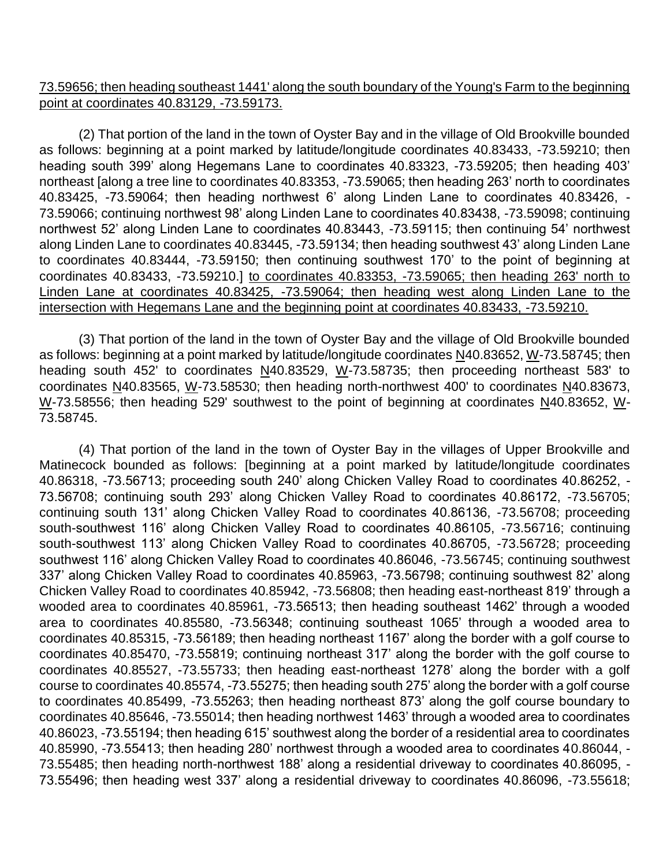73.59656; then heading southeast 1441' along the south boundary of the Young's Farm to the beginning point at coordinates 40.83129, -73.59173.

(2) That portion of the land in the town of Oyster Bay and in the village of Old Brookville bounded as follows: beginning at a point marked by latitude/longitude coordinates 40.83433, -73.59210; then heading south 399' along Hegemans Lane to coordinates 40.83323, -73.59205; then heading 403' northeast [along a tree line to coordinates 40.83353, -73.59065; then heading 263' north to coordinates 40.83425, -73.59064; then heading northwest 6' along Linden Lane to coordinates 40.83426, - 73.59066; continuing northwest 98' along Linden Lane to coordinates 40.83438, -73.59098; continuing northwest 52' along Linden Lane to coordinates 40.83443, -73.59115; then continuing 54' northwest along Linden Lane to coordinates 40.83445, -73.59134; then heading southwest 43' along Linden Lane to coordinates 40.83444, -73.59150; then continuing southwest 170' to the point of beginning at coordinates 40.83433, -73.59210.] to coordinates 40.83353, -73.59065; then heading 263' north to Linden Lane at coordinates 40.83425, -73.59064; then heading west along Linden Lane to the intersection with Hegemans Lane and the beginning point at coordinates 40.83433, -73.59210.

(3) That portion of the land in the town of Oyster Bay and the village of Old Brookville bounded as follows: beginning at a point marked by latitude/longitude coordinates N40.83652, W-73.58745; then heading south 452' to coordinates N40.83529, W-73.58735; then proceeding northeast 583' to coordinates N40.83565, W-73.58530; then heading north-northwest 400' to coordinates N40.83673, W-73.58556; then heading 529' southwest to the point of beginning at coordinates N40.83652, W-73.58745.

(4) That portion of the land in the town of Oyster Bay in the villages of Upper Brookville and Matinecock bounded as follows: [beginning at a point marked by latitude/longitude coordinates 40.86318, -73.56713; proceeding south 240' along Chicken Valley Road to coordinates 40.86252, - 73.56708; continuing south 293' along Chicken Valley Road to coordinates 40.86172, -73.56705; continuing south 131' along Chicken Valley Road to coordinates 40.86136, -73.56708; proceeding south-southwest 116' along Chicken Valley Road to coordinates 40.86105, -73.56716; continuing south-southwest 113' along Chicken Valley Road to coordinates 40.86705, -73.56728; proceeding southwest 116' along Chicken Valley Road to coordinates 40.86046, -73.56745; continuing southwest 337' along Chicken Valley Road to coordinates 40.85963, -73.56798; continuing southwest 82' along Chicken Valley Road to coordinates 40.85942, -73.56808; then heading east-northeast 819' through a wooded area to coordinates 40.85961, -73.56513; then heading southeast 1462' through a wooded area to coordinates 40.85580, -73.56348; continuing southeast 1065' through a wooded area to coordinates 40.85315, -73.56189; then heading northeast 1167' along the border with a golf course to coordinates 40.85470, -73.55819; continuing northeast 317' along the border with the golf course to coordinates 40.85527, -73.55733; then heading east-northeast 1278' along the border with a golf course to coordinates 40.85574, -73.55275; then heading south 275' along the border with a golf course to coordinates 40.85499, -73.55263; then heading northeast 873' along the golf course boundary to coordinates 40.85646, -73.55014; then heading northwest 1463' through a wooded area to coordinates 40.86023, -73.55194; then heading 615' southwest along the border of a residential area to coordinates 40.85990, -73.55413; then heading 280' northwest through a wooded area to coordinates 40.86044, - 73.55485; then heading north-northwest 188' along a residential driveway to coordinates 40.86095, - 73.55496; then heading west 337' along a residential driveway to coordinates 40.86096, -73.55618;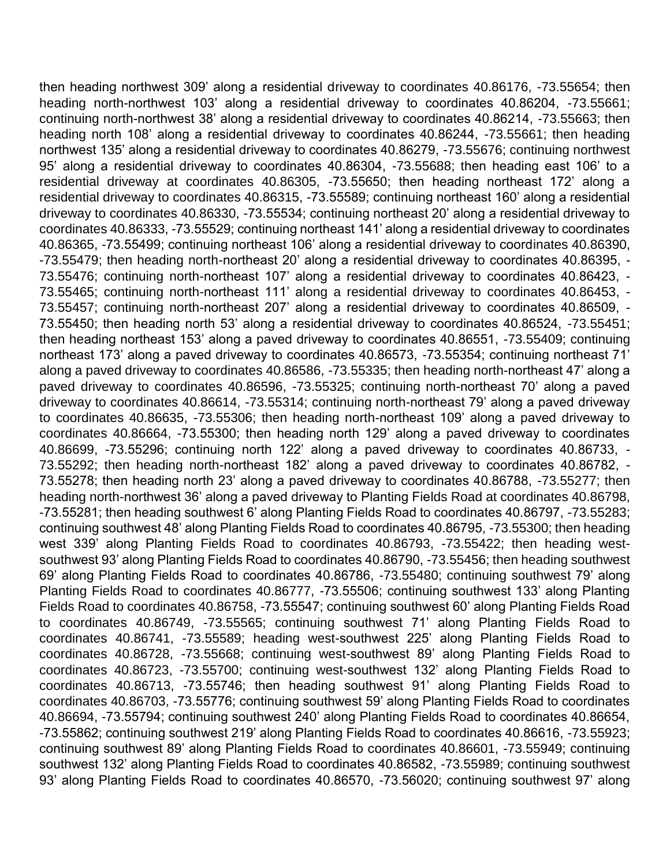then heading northwest 309' along a residential driveway to coordinates 40.86176, -73.55654; then heading north-northwest 103' along a residential driveway to coordinates 40.86204, -73.55661; continuing north-northwest 38' along a residential driveway to coordinates 40.86214, -73.55663; then heading north 108' along a residential driveway to coordinates 40.86244, -73.55661; then heading northwest 135' along a residential driveway to coordinates 40.86279, -73.55676; continuing northwest 95' along a residential driveway to coordinates 40.86304, -73.55688; then heading east 106' to a residential driveway at coordinates 40.86305, -73.55650; then heading northeast 172' along a residential driveway to coordinates 40.86315, -73.55589; continuing northeast 160' along a residential driveway to coordinates 40.86330, -73.55534; continuing northeast 20' along a residential driveway to coordinates 40.86333, -73.55529; continuing northeast 141' along a residential driveway to coordinates 40.86365, -73.55499; continuing northeast 106' along a residential driveway to coordinates 40.86390, -73.55479; then heading north-northeast 20' along a residential driveway to coordinates 40.86395, - 73.55476; continuing north-northeast 107' along a residential driveway to coordinates 40.86423, - 73.55465; continuing north-northeast 111' along a residential driveway to coordinates 40.86453, - 73.55457; continuing north-northeast 207' along a residential driveway to coordinates 40.86509, - 73.55450; then heading north 53' along a residential driveway to coordinates 40.86524, -73.55451; then heading northeast 153' along a paved driveway to coordinates 40.86551, -73.55409; continuing northeast 173' along a paved driveway to coordinates 40.86573, -73.55354; continuing northeast 71' along a paved driveway to coordinates 40.86586, -73.55335; then heading north-northeast 47' along a paved driveway to coordinates 40.86596, -73.55325; continuing north-northeast 70' along a paved driveway to coordinates 40.86614, -73.55314; continuing north-northeast 79' along a paved driveway to coordinates 40.86635, -73.55306; then heading north-northeast 109' along a paved driveway to coordinates 40.86664, -73.55300; then heading north 129' along a paved driveway to coordinates 40.86699, -73.55296; continuing north 122' along a paved driveway to coordinates 40.86733, - 73.55292; then heading north-northeast 182' along a paved driveway to coordinates 40.86782, - 73.55278; then heading north 23' along a paved driveway to coordinates 40.86788, -73.55277; then heading north-northwest 36' along a paved driveway to Planting Fields Road at coordinates 40.86798, -73.55281; then heading southwest 6' along Planting Fields Road to coordinates 40.86797, -73.55283; continuing southwest 48' along Planting Fields Road to coordinates 40.86795, -73.55300; then heading west 339' along Planting Fields Road to coordinates 40.86793, -73.55422; then heading westsouthwest 93' along Planting Fields Road to coordinates 40.86790, -73.55456; then heading southwest 69' along Planting Fields Road to coordinates 40.86786, -73.55480; continuing southwest 79' along Planting Fields Road to coordinates 40.86777, -73.55506; continuing southwest 133' along Planting Fields Road to coordinates 40.86758, -73.55547; continuing southwest 60' along Planting Fields Road to coordinates 40.86749, -73.55565; continuing southwest 71' along Planting Fields Road to coordinates 40.86741, -73.55589; heading west-southwest 225' along Planting Fields Road to coordinates 40.86728, -73.55668; continuing west-southwest 89' along Planting Fields Road to coordinates 40.86723, -73.55700; continuing west-southwest 132' along Planting Fields Road to coordinates 40.86713, -73.55746; then heading southwest 91' along Planting Fields Road to coordinates 40.86703, -73.55776; continuing southwest 59' along Planting Fields Road to coordinates 40.86694, -73.55794; continuing southwest 240' along Planting Fields Road to coordinates 40.86654, -73.55862; continuing southwest 219' along Planting Fields Road to coordinates 40.86616, -73.55923; continuing southwest 89' along Planting Fields Road to coordinates 40.86601, -73.55949; continuing southwest 132' along Planting Fields Road to coordinates 40.86582, -73.55989; continuing southwest 93' along Planting Fields Road to coordinates 40.86570, -73.56020; continuing southwest 97' along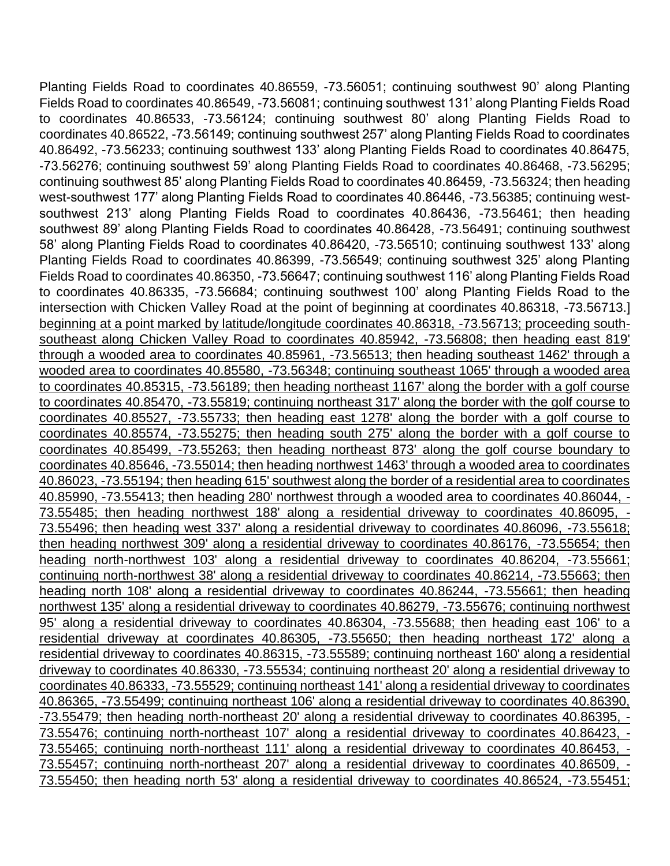Planting Fields Road to coordinates 40.86559, -73.56051; continuing southwest 90' along Planting Fields Road to coordinates 40.86549, -73.56081; continuing southwest 131' along Planting Fields Road to coordinates 40.86533, -73.56124; continuing southwest 80' along Planting Fields Road to coordinates 40.86522, -73.56149; continuing southwest 257' along Planting Fields Road to coordinates 40.86492, -73.56233; continuing southwest 133' along Planting Fields Road to coordinates 40.86475, -73.56276; continuing southwest 59' along Planting Fields Road to coordinates 40.86468, -73.56295; continuing southwest 85' along Planting Fields Road to coordinates 40.86459, -73.56324; then heading west-southwest 177' along Planting Fields Road to coordinates 40.86446, -73.56385; continuing westsouthwest 213' along Planting Fields Road to coordinates 40.86436, -73.56461; then heading southwest 89' along Planting Fields Road to coordinates 40.86428, -73.56491; continuing southwest 58' along Planting Fields Road to coordinates 40.86420, -73.56510; continuing southwest 133' along Planting Fields Road to coordinates 40.86399, -73.56549; continuing southwest 325' along Planting Fields Road to coordinates 40.86350, -73.56647; continuing southwest 116' along Planting Fields Road to coordinates 40.86335, -73.56684; continuing southwest 100' along Planting Fields Road to the intersection with Chicken Valley Road at the point of beginning at coordinates 40.86318, -73.56713.] beginning at a point marked by latitude/longitude coordinates 40.86318, -73.56713; proceeding southsoutheast along Chicken Valley Road to coordinates 40.85942, -73.56808; then heading east 819' through a wooded area to coordinates 40.85961, -73.56513; then heading southeast 1462' through a wooded area to coordinates 40.85580, -73.56348; continuing southeast 1065' through a wooded area to coordinates 40.85315, -73.56189; then heading northeast 1167' along the border with a golf course to coordinates 40.85470, -73.55819; continuing northeast 317' along the border with the golf course to coordinates 40.85527, -73.55733; then heading east 1278' along the border with a golf course to coordinates 40.85574, -73.55275; then heading south 275' along the border with a golf course to coordinates 40.85499, -73.55263; then heading northeast 873' along the golf course boundary to coordinates 40.85646, -73.55014; then heading northwest 1463' through a wooded area to coordinates 40.86023, -73.55194; then heading 615' southwest along the border of a residential area to coordinates 40.85990, -73.55413; then heading 280' northwest through a wooded area to coordinates 40.86044, - 73.55485; then heading northwest 188' along a residential driveway to coordinates 40.86095, - 73.55496; then heading west 337' along a residential driveway to coordinates 40.86096, -73.55618; then heading northwest 309' along a residential driveway to coordinates 40.86176, -73.55654; then heading north-northwest 103' along a residential driveway to coordinates 40.86204, -73.55661; continuing north-northwest 38' along a residential driveway to coordinates 40.86214, -73.55663; then heading north 108' along a residential driveway to coordinates 40.86244, -73.55661; then heading northwest 135' along a residential driveway to coordinates 40.86279, -73.55676; continuing northwest 95' along a residential driveway to coordinates 40.86304, -73.55688; then heading east 106' to a residential driveway at coordinates 40.86305, -73.55650; then heading northeast 172' along a residential driveway to coordinates 40.86315, -73.55589; continuing northeast 160' along a residential driveway to coordinates 40.86330, -73.55534; continuing northeast 20' along a residential driveway to coordinates 40.86333, -73.55529; continuing northeast 141' along a residential driveway to coordinates 40.86365, -73.55499; continuing northeast 106' along a residential driveway to coordinates 40.86390, -73.55479; then heading north-northeast 20' along a residential driveway to coordinates 40.86395, - 73.55476; continuing north-northeast 107' along a residential driveway to coordinates 40.86423, - 73.55465; continuing north-northeast 111' along a residential driveway to coordinates 40.86453, - 73.55457; continuing north-northeast 207' along a residential driveway to coordinates 40.86509, - 73.55450; then heading north 53' along a residential driveway to coordinates 40.86524, -73.55451;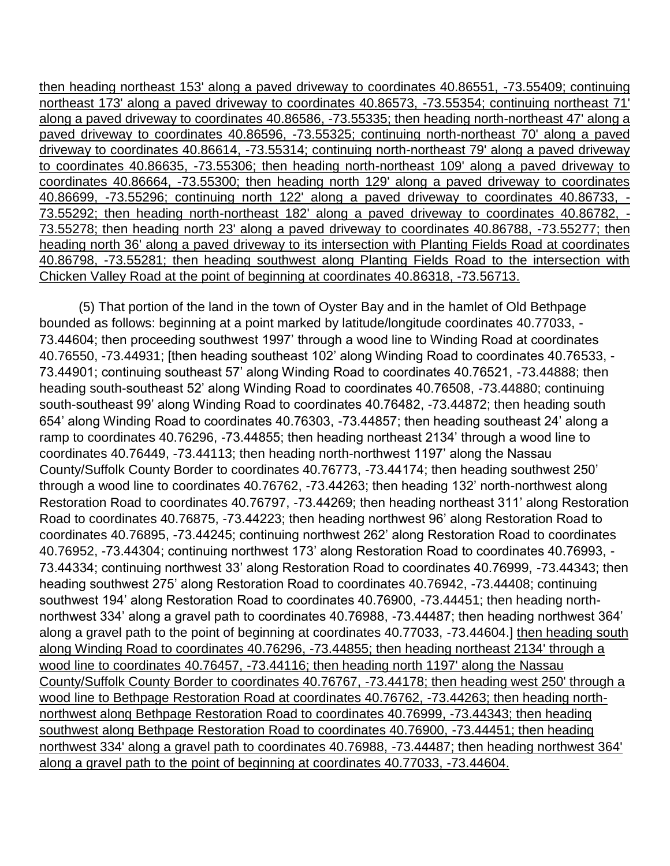then heading northeast 153' along a paved driveway to coordinates 40.86551, -73.55409; continuing northeast 173' along a paved driveway to coordinates 40.86573, -73.55354; continuing northeast 71' along a paved driveway to coordinates 40.86586, -73.55335; then heading north-northeast 47' along a paved driveway to coordinates 40.86596, -73.55325; continuing north-northeast 70' along a paved driveway to coordinates 40.86614, -73.55314; continuing north-northeast 79' along a paved driveway to coordinates 40.86635, -73.55306; then heading north-northeast 109' along a paved driveway to coordinates 40.86664, -73.55300; then heading north 129' along a paved driveway to coordinates 40.86699, -73.55296; continuing north 122' along a paved driveway to coordinates 40.86733, - 73.55292; then heading north-northeast 182' along a paved driveway to coordinates 40.86782, - 73.55278; then heading north 23' along a paved driveway to coordinates 40.86788, -73.55277; then heading north 36' along a paved driveway to its intersection with Planting Fields Road at coordinates 40.86798, -73.55281; then heading southwest along Planting Fields Road to the intersection with Chicken Valley Road at the point of beginning at coordinates 40.86318, -73.56713.

(5) That portion of the land in the town of Oyster Bay and in the hamlet of Old Bethpage bounded as follows: beginning at a point marked by latitude/longitude coordinates 40.77033, - 73.44604; then proceeding southwest 1997' through a wood line to Winding Road at coordinates 40.76550, -73.44931; [then heading southeast 102' along Winding Road to coordinates 40.76533, - 73.44901; continuing southeast 57' along Winding Road to coordinates 40.76521, -73.44888; then heading south-southeast 52' along Winding Road to coordinates 40.76508, -73.44880; continuing south-southeast 99' along Winding Road to coordinates 40.76482, -73.44872; then heading south 654' along Winding Road to coordinates 40.76303, -73.44857; then heading southeast 24' along a ramp to coordinates 40.76296, -73.44855; then heading northeast 2134' through a wood line to coordinates 40.76449, -73.44113; then heading north-northwest 1197' along the Nassau County/Suffolk County Border to coordinates 40.76773, -73.44174; then heading southwest 250' through a wood line to coordinates 40.76762, -73.44263; then heading 132' north-northwest along Restoration Road to coordinates 40.76797, -73.44269; then heading northeast 311' along Restoration Road to coordinates 40.76875, -73.44223; then heading northwest 96' along Restoration Road to coordinates 40.76895, -73.44245; continuing northwest 262' along Restoration Road to coordinates 40.76952, -73.44304; continuing northwest 173' along Restoration Road to coordinates 40.76993, - 73.44334; continuing northwest 33' along Restoration Road to coordinates 40.76999, -73.44343; then heading southwest 275' along Restoration Road to coordinates 40.76942, -73.44408; continuing southwest 194' along Restoration Road to coordinates 40.76900, -73.44451; then heading northnorthwest 334' along a gravel path to coordinates 40.76988, -73.44487; then heading northwest 364' along a gravel path to the point of beginning at coordinates 40.77033, -73.44604.] then heading south along Winding Road to coordinates 40.76296, -73.44855; then heading northeast 2134' through a wood line to coordinates 40.76457, -73.44116; then heading north 1197' along the Nassau County/Suffolk County Border to coordinates 40.76767, -73.44178; then heading west 250' through a wood line to Bethpage Restoration Road at coordinates 40.76762, -73.44263; then heading northnorthwest along Bethpage Restoration Road to coordinates 40.76999, -73.44343; then heading southwest along Bethpage Restoration Road to coordinates 40.76900, -73.44451; then heading northwest 334' along a gravel path to coordinates 40.76988, -73.44487; then heading northwest 364' along a gravel path to the point of beginning at coordinates 40.77033, -73.44604.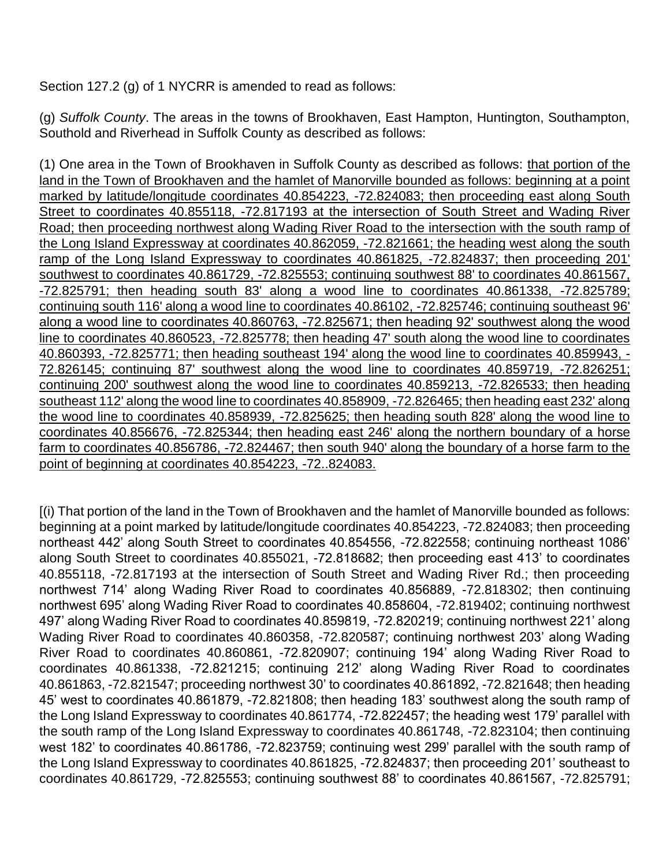Section 127.2 (g) of 1 NYCRR is amended to read as follows:

(g) *Suffolk County*. The areas in the towns of Brookhaven, East Hampton, Huntington, Southampton, Southold and Riverhead in Suffolk County as described as follows:

(1) One area in the Town of Brookhaven in Suffolk County as described as follows: that portion of the land in the Town of Brookhaven and the hamlet of Manorville bounded as follows: beginning at a point marked by latitude/longitude coordinates 40.854223, -72.824083; then proceeding east along South Street to coordinates 40.855118, -72.817193 at the intersection of South Street and Wading River Road; then proceeding northwest along Wading River Road to the intersection with the south ramp of the Long Island Expressway at coordinates 40.862059, -72.821661; the heading west along the south ramp of the Long Island Expressway to coordinates 40.861825, -72.824837; then proceeding 201' southwest to coordinates 40.861729, -72.825553; continuing southwest 88' to coordinates 40.861567, -72.825791; then heading south 83' along a wood line to coordinates 40.861338, -72.825789; continuing south 116' along a wood line to coordinates 40.86102, -72.825746; continuing southeast 96' along a wood line to coordinates 40.860763, -72.825671; then heading 92' southwest along the wood line to coordinates 40.860523, -72.825778; then heading 47' south along the wood line to coordinates 40.860393, -72.825771; then heading southeast 194' along the wood line to coordinates 40.859943, - 72.826145; continuing 87' southwest along the wood line to coordinates 40.859719, -72.826251; continuing 200' southwest along the wood line to coordinates 40.859213, -72.826533; then heading southeast 112' along the wood line to coordinates 40.858909, -72.826465; then heading east 232' along the wood line to coordinates 40.858939, -72.825625; then heading south 828' along the wood line to coordinates 40.856676, -72.825344; then heading east 246' along the northern boundary of a horse farm to coordinates 40.856786, -72.824467; then south 940' along the boundary of a horse farm to the point of beginning at coordinates 40.854223, -72..824083.

[(i) That portion of the land in the Town of Brookhaven and the hamlet of Manorville bounded as follows: beginning at a point marked by latitude/longitude coordinates 40.854223, -72.824083; then proceeding northeast 442' along South Street to coordinates 40.854556, -72.822558; continuing northeast 1086' along South Street to coordinates 40.855021, -72.818682; then proceeding east 413' to coordinates 40.855118, -72.817193 at the intersection of South Street and Wading River Rd.; then proceeding northwest 714' along Wading River Road to coordinates 40.856889, -72.818302; then continuing northwest 695' along Wading River Road to coordinates 40.858604, -72.819402; continuing northwest 497' along Wading River Road to coordinates 40.859819, -72.820219; continuing northwest 221' along Wading River Road to coordinates 40.860358, -72.820587; continuing northwest 203' along Wading River Road to coordinates 40.860861, -72.820907; continuing 194' along Wading River Road to coordinates 40.861338, -72.821215; continuing 212' along Wading River Road to coordinates 40.861863, -72.821547; proceeding northwest 30' to coordinates 40.861892, -72.821648; then heading 45' west to coordinates 40.861879, -72.821808; then heading 183' southwest along the south ramp of the Long Island Expressway to coordinates 40.861774, -72.822457; the heading west 179' parallel with the south ramp of the Long Island Expressway to coordinates 40.861748, -72.823104; then continuing west 182' to coordinates 40.861786, -72.823759; continuing west 299' parallel with the south ramp of the Long Island Expressway to coordinates 40.861825, -72.824837; then proceeding 201' southeast to coordinates 40.861729, -72.825553; continuing southwest 88' to coordinates 40.861567, -72.825791;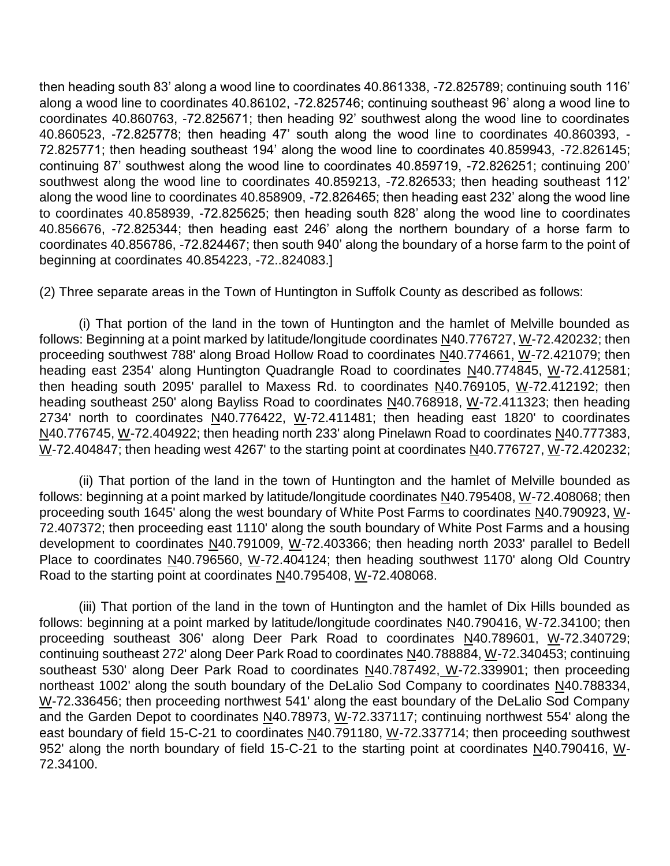then heading south 83' along a wood line to coordinates 40.861338, -72.825789; continuing south 116' along a wood line to coordinates 40.86102, -72.825746; continuing southeast 96' along a wood line to coordinates 40.860763, -72.825671; then heading 92' southwest along the wood line to coordinates 40.860523, -72.825778; then heading 47' south along the wood line to coordinates 40.860393, - 72.825771; then heading southeast 194' along the wood line to coordinates 40.859943, -72.826145; continuing 87' southwest along the wood line to coordinates 40.859719, -72.826251; continuing 200' southwest along the wood line to coordinates 40.859213, -72.826533; then heading southeast 112' along the wood line to coordinates 40.858909, -72.826465; then heading east 232' along the wood line to coordinates 40.858939, -72.825625; then heading south 828' along the wood line to coordinates 40.856676, -72.825344; then heading east 246' along the northern boundary of a horse farm to coordinates 40.856786, -72.824467; then south 940' along the boundary of a horse farm to the point of beginning at coordinates 40.854223, -72..824083.]

(2) Three separate areas in the Town of Huntington in Suffolk County as described as follows:

(i) That portion of the land in the town of Huntington and the hamlet of Melville bounded as follows: Beginning at a point marked by latitude/longitude coordinates N40.776727, W-72.420232; then proceeding southwest 788' along Broad Hollow Road to coordinates N40.774661, W-72.421079; then heading east 2354' along Huntington Quadrangle Road to coordinates N40.774845, W-72.412581; then heading south 2095' parallel to Maxess Rd. to coordinates N40.769105, W-72.412192; then heading southeast 250' along Bayliss Road to coordinates N40.768918, W-72.411323; then heading 2734' north to coordinates  $N40.776422$ , W-72.411481; then heading east 1820' to coordinates N40.776745, W-72.404922; then heading north 233' along Pinelawn Road to coordinates N40.777383, W-72.404847; then heading west 4267' to the starting point at coordinates N40.776727, W-72.420232;

(ii) That portion of the land in the town of Huntington and the hamlet of Melville bounded as follows: beginning at a point marked by latitude/longitude coordinates N40.795408, W-72.408068; then proceeding south 1645' along the west boundary of White Post Farms to coordinates N40.790923, W-72.407372; then proceeding east 1110' along the south boundary of White Post Farms and a housing development to coordinates N40.791009, W-72.403366; then heading north 2033' parallel to Bedell Place to coordinates N40.796560, W-72.404124; then heading southwest 1170' along Old Country Road to the starting point at coordinates N40.795408, W-72.408068.

(iii) That portion of the land in the town of Huntington and the hamlet of Dix Hills bounded as follows: beginning at a point marked by latitude/longitude coordinates N40.790416, W-72.34100; then proceeding southeast 306' along Deer Park Road to coordinates N40.789601, W-72.340729; continuing southeast 272' along Deer Park Road to coordinates N40.788884, W-72.340453; continuing southeast 530' along Deer Park Road to coordinates N40.787492, W-72.339901; then proceeding northeast 1002' along the south boundary of the DeLalio Sod Company to coordinates N40.788334, W-72.336456; then proceeding northwest 541' along the east boundary of the DeLalio Sod Company and the Garden Depot to coordinates N40.78973, W-72.337117; continuing northwest 554' along the east boundary of field 15-C-21 to coordinates N40.791180, W-72.337714; then proceeding southwest 952' along the north boundary of field 15-C-21 to the starting point at coordinates N40.790416, W-72.34100.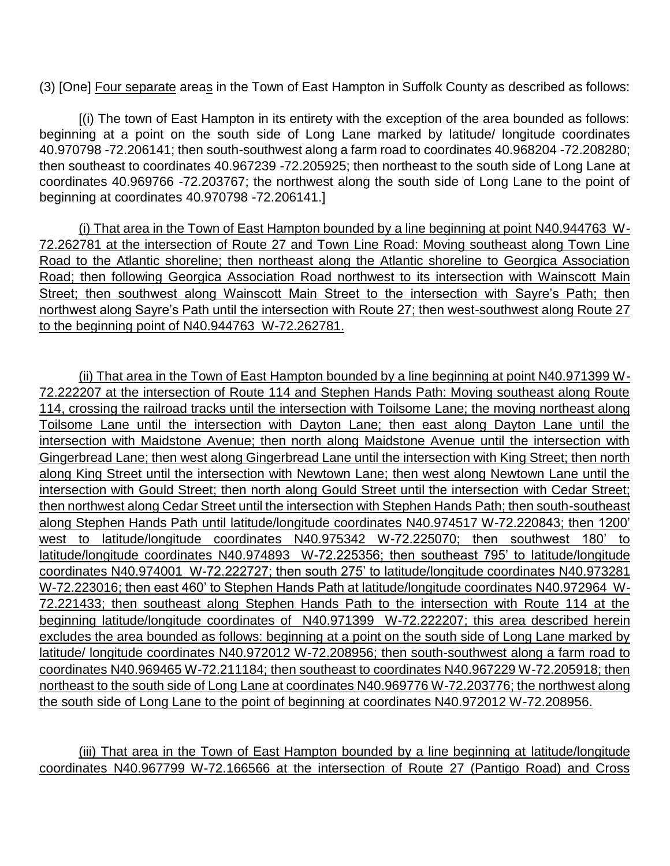(3) [One] Four separate areas in the Town of East Hampton in Suffolk County as described as follows:

[(i) The town of East Hampton in its entirety with the exception of the area bounded as follows: beginning at a point on the south side of Long Lane marked by latitude/ longitude coordinates 40.970798 -72.206141; then south-southwest along a farm road to coordinates 40.968204 -72.208280; then southeast to coordinates 40.967239 -72.205925; then northeast to the south side of Long Lane at coordinates 40.969766 -72.203767; the northwest along the south side of Long Lane to the point of beginning at coordinates 40.970798 -72.206141.]

(i) That area in the Town of East Hampton bounded by a line beginning at point N40.944763 W-72.262781 at the intersection of Route 27 and Town Line Road: Moving southeast along Town Line Road to the Atlantic shoreline; then northeast along the Atlantic shoreline to Georgica Association Road; then following Georgica Association Road northwest to its intersection with Wainscott Main Street; then southwest along Wainscott Main Street to the intersection with Sayre's Path; then northwest along Sayre's Path until the intersection with Route 27; then west-southwest along Route 27 to the beginning point of N40.944763 W-72.262781.

(ii) That area in the Town of East Hampton bounded by a line beginning at point N40.971399 W-72.222207 at the intersection of Route 114 and Stephen Hands Path: Moving southeast along Route 114, crossing the railroad tracks until the intersection with Toilsome Lane; the moving northeast along Toilsome Lane until the intersection with Dayton Lane; then east along Dayton Lane until the intersection with Maidstone Avenue; then north along Maidstone Avenue until the intersection with Gingerbread Lane; then west along Gingerbread Lane until the intersection with King Street; then north along King Street until the intersection with Newtown Lane; then west along Newtown Lane until the intersection with Gould Street; then north along Gould Street until the intersection with Cedar Street; then northwest along Cedar Street until the intersection with Stephen Hands Path; then south-southeast along Stephen Hands Path until latitude/longitude coordinates N40.974517 W-72.220843; then 1200' west to latitude/longitude coordinates N40.975342 W-72.225070; then southwest 180' to latitude/longitude coordinates N40.974893 W-72.225356; then southeast 795' to latitude/longitude coordinates N40.974001 W-72.222727; then south 275' to latitude/longitude coordinates N40.973281 W-72.223016; then east 460' to Stephen Hands Path at latitude/longitude coordinates N40.972964 W-72.221433; then southeast along Stephen Hands Path to the intersection with Route 114 at the beginning latitude/longitude coordinates of N40.971399 W-72.222207; this area described herein excludes the area bounded as follows: beginning at a point on the south side of Long Lane marked by latitude/ longitude coordinates N40.972012 W-72.208956; then south-southwest along a farm road to coordinates N40.969465 W-72.211184; then southeast to coordinates N40.967229 W-72.205918; then northeast to the south side of Long Lane at coordinates N40.969776 W-72.203776; the northwest along the south side of Long Lane to the point of beginning at coordinates N40.972012 W-72.208956.

(iii) That area in the Town of East Hampton bounded by a line beginning at latitude/longitude coordinates N40.967799 W-72.166566 at the intersection of Route 27 (Pantigo Road) and Cross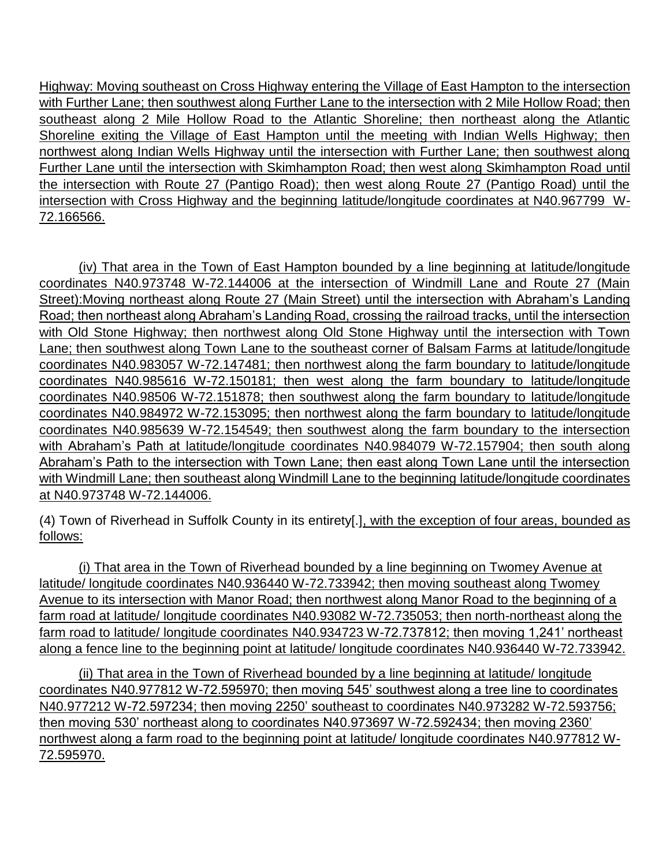Highway: Moving southeast on Cross Highway entering the Village of East Hampton to the intersection with Further Lane; then southwest along Further Lane to the intersection with 2 Mile Hollow Road; then southeast along 2 Mile Hollow Road to the Atlantic Shoreline; then northeast along the Atlantic Shoreline exiting the Village of East Hampton until the meeting with Indian Wells Highway; then northwest along Indian Wells Highway until the intersection with Further Lane; then southwest along Further Lane until the intersection with Skimhampton Road; then west along Skimhampton Road until the intersection with Route 27 (Pantigo Road); then west along Route 27 (Pantigo Road) until the intersection with Cross Highway and the beginning latitude/longitude coordinates at N40.967799 W-72.166566.

(iv) That area in the Town of East Hampton bounded by a line beginning at latitude/longitude coordinates N40.973748 W-72.144006 at the intersection of Windmill Lane and Route 27 (Main Street):Moving northeast along Route 27 (Main Street) until the intersection with Abraham's Landing Road; then northeast along Abraham's Landing Road, crossing the railroad tracks, until the intersection with Old Stone Highway; then northwest along Old Stone Highway until the intersection with Town Lane; then southwest along Town Lane to the southeast corner of Balsam Farms at latitude/longitude coordinates N40.983057 W-72.147481; then northwest along the farm boundary to latitude/longitude coordinates N40.985616 W-72.150181; then west along the farm boundary to latitude/longitude coordinates N40.98506 W-72.151878; then southwest along the farm boundary to latitude/longitude coordinates N40.984972 W-72.153095; then northwest along the farm boundary to latitude/longitude coordinates N40.985639 W-72.154549; then southwest along the farm boundary to the intersection with Abraham's Path at latitude/longitude coordinates N40.984079 W-72.157904; then south along Abraham's Path to the intersection with Town Lane; then east along Town Lane until the intersection with Windmill Lane; then southeast along Windmill Lane to the beginning latitude/longitude coordinates at N40.973748 W-72.144006.

(4) Town of Riverhead in Suffolk County in its entirety[.], with the exception of four areas, bounded as follows:

(i) That area in the Town of Riverhead bounded by a line beginning on Twomey Avenue at latitude/ longitude coordinates N40.936440 W-72.733942; then moving southeast along Twomey Avenue to its intersection with Manor Road; then northwest along Manor Road to the beginning of a farm road at latitude/ longitude coordinates N40.93082 W-72.735053; then north-northeast along the farm road to latitude/ longitude coordinates N40.934723 W-72.737812; then moving 1,241' northeast along a fence line to the beginning point at latitude/ longitude coordinates N40.936440 W-72.733942.

(ii) That area in the Town of Riverhead bounded by a line beginning at latitude/ longitude coordinates N40.977812 W-72.595970; then moving 545' southwest along a tree line to coordinates N40.977212 W-72.597234; then moving 2250' southeast to coordinates N40.973282 W-72.593756; then moving 530' northeast along to coordinates N40.973697 W-72.592434; then moving 2360' northwest along a farm road to the beginning point at latitude/ longitude coordinates N40.977812 W-72.595970.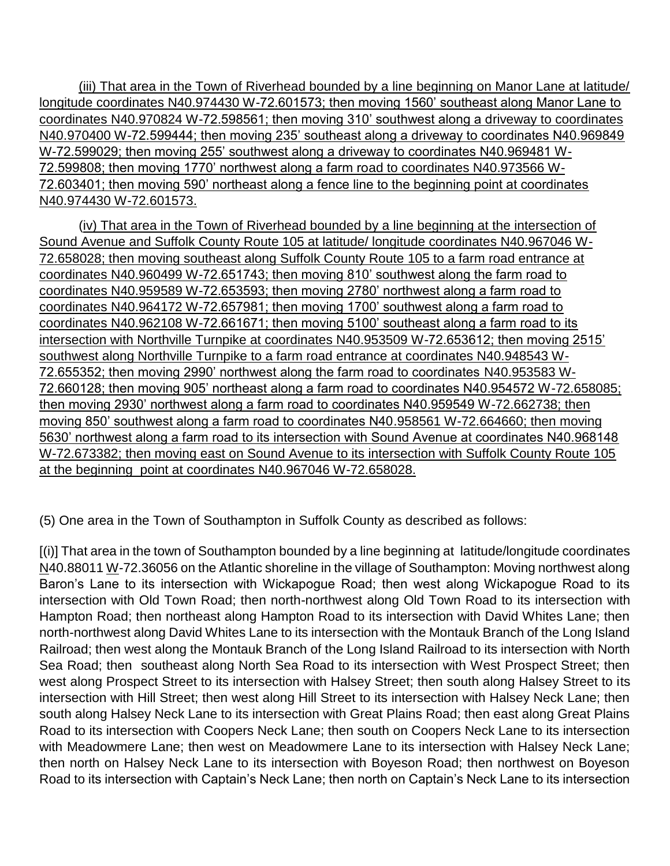(iii) That area in the Town of Riverhead bounded by a line beginning on Manor Lane at latitude/ longitude coordinates N40.974430 W-72.601573; then moving 1560' southeast along Manor Lane to coordinates N40.970824 W-72.598561; then moving 310' southwest along a driveway to coordinates N40.970400 W-72.599444; then moving 235' southeast along a driveway to coordinates N40.969849 W-72.599029; then moving 255' southwest along a driveway to coordinates N40.969481 W-72.599808; then moving 1770' northwest along a farm road to coordinates N40.973566 W-72.603401; then moving 590' northeast along a fence line to the beginning point at coordinates N40.974430 W-72.601573.

(iv) That area in the Town of Riverhead bounded by a line beginning at the intersection of Sound Avenue and Suffolk County Route 105 at latitude/ longitude coordinates N40.967046 W-72.658028; then moving southeast along Suffolk County Route 105 to a farm road entrance at coordinates N40.960499 W-72.651743; then moving 810' southwest along the farm road to coordinates N40.959589 W-72.653593; then moving 2780' northwest along a farm road to coordinates N40.964172 W-72.657981; then moving 1700' southwest along a farm road to coordinates N40.962108 W-72.661671; then moving 5100' southeast along a farm road to its intersection with Northville Turnpike at coordinates N40.953509 W-72.653612; then moving 2515' southwest along Northville Turnpike to a farm road entrance at coordinates N40.948543 W-72.655352; then moving 2990' northwest along the farm road to coordinates N40.953583 W-72.660128; then moving 905' northeast along a farm road to coordinates N40.954572 W-72.658085; then moving 2930' northwest along a farm road to coordinates N40.959549 W-72.662738; then moving 850' southwest along a farm road to coordinates N40.958561 W-72.664660; then moving 5630' northwest along a farm road to its intersection with Sound Avenue at coordinates N40.968148 W-72.673382; then moving east on Sound Avenue to its intersection with Suffolk County Route 105 at the beginning point at coordinates N40.967046 W-72.658028.

(5) One area in the Town of Southampton in Suffolk County as described as follows:

[(i)] That area in the town of Southampton bounded by a line beginning at latitude/longitude coordinates N40.88011 W-72.36056 on the Atlantic shoreline in the village of Southampton: Moving northwest along Baron's Lane to its intersection with Wickapogue Road; then west along Wickapogue Road to its intersection with Old Town Road; then north-northwest along Old Town Road to its intersection with Hampton Road; then northeast along Hampton Road to its intersection with David Whites Lane; then north-northwest along David Whites Lane to its intersection with the Montauk Branch of the Long Island Railroad; then west along the Montauk Branch of the Long Island Railroad to its intersection with North Sea Road; then southeast along North Sea Road to its intersection with West Prospect Street; then west along Prospect Street to its intersection with Halsey Street; then south along Halsey Street to its intersection with Hill Street; then west along Hill Street to its intersection with Halsey Neck Lane; then south along Halsey Neck Lane to its intersection with Great Plains Road; then east along Great Plains Road to its intersection with Coopers Neck Lane; then south on Coopers Neck Lane to its intersection with Meadowmere Lane; then west on Meadowmere Lane to its intersection with Halsey Neck Lane; then north on Halsey Neck Lane to its intersection with Boyeson Road; then northwest on Boyeson Road to its intersection with Captain's Neck Lane; then north on Captain's Neck Lane to its intersection